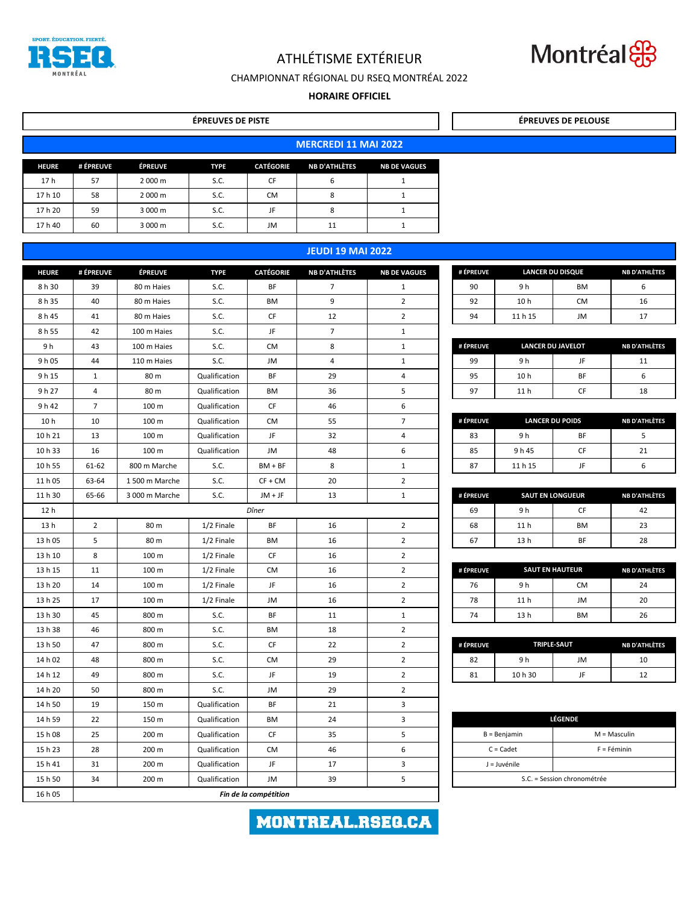| <b>HEURE</b>    | # ÉPREUVE      | <b>ÉPREUVE</b>        | <b>TYPE</b>   | <b>CATÉGORIE</b> | <b>NB D'ATHLÈTES</b> | <b>NB DE VAGUES</b> | # ÉPREUVE |                                   | <b>LANCER DU DISQUE</b>     | <b>NB D'ATHLÈTES</b>   |
|-----------------|----------------|-----------------------|---------------|------------------|----------------------|---------------------|-----------|-----------------------------------|-----------------------------|------------------------|
| 8 h 30          | 39             | 80 m Haies            | S.C.          | <b>BF</b>        | $\overline{7}$       | $\mathbf{1}$        | 90        | 9 h                               | BM                          | 6                      |
| 8 h 35          | 40             | 80 m Haies            | S.C.          | BM               | 9                    | $\overline{2}$      | 92        | 10 <sub>h</sub>                   | CM                          | 16                     |
| 8 h 45          | 41             | 80 m Haies            | S.C.          | CF               | 12                   | $\overline{2}$      | 94        | 11 h 15                           | JM                          | 17                     |
| 8 h 55          | 42             | 100 m Haies           | S.C.          | JF               | $\overline{7}$       | $\mathbf{1}$        |           |                                   |                             |                        |
| 9 h             | 43             | 100 m Haies           | S.C.          | <b>CM</b>        | 8                    | $\mathbf{1}$        | # ÉPREUVE |                                   | <b>LANCER DU JAVELOT</b>    | <b>NB D'ATHLÈTES</b>   |
| 9 h 05          | 44             | 110 m Haies           | S.C.          | JM               | $\overline{4}$       | $\mathbf{1}$        | 99        | 9 h                               | JF.                         | 11                     |
| 9h15            | $\mathbf{1}$   | 80 m                  | Qualification | <b>BF</b>        | 29                   | 4                   | 95        | 10 <sub>h</sub>                   | <b>BF</b>                   | 6                      |
| 9 h 27          | $\overline{4}$ | 80 m                  | Qualification | BM               | 36                   | 5                   | 97        | 11 <sub>h</sub>                   | CF                          | 18                     |
| 9 h 42          | $\overline{7}$ | 100 <sub>m</sub>      | Qualification | <b>CF</b>        | 46                   | 6                   |           |                                   |                             |                        |
| 10 <sub>h</sub> | 10             | 100 m                 | Qualification | <b>CM</b>        | 55                   | $\overline{7}$      | # ÉPREUVE |                                   | <b>LANCER DU POIDS</b>      | <b>NB D'ATHLÈTES</b>   |
| 10 h 21         | 13             | 100 m                 | Qualification | JF               | 32                   | 4                   | 83        | 9 h                               | <b>BF</b>                   | 5                      |
| 10h33           | 16             | 100 <sub>m</sub>      | Qualification | JM               | 48                   | 6                   | 85        | 9 h 45                            | <b>CF</b>                   | 21                     |
| 10 h 55         | $61 - 62$      | 800 m Marche          | S.C.          | $BM + BF$        | 8                    | $\mathbf{1}$        | 87        | 11 h 15                           | JF                          | 6                      |
| 11 h 05         | 63-64          | 1500 m Marche         | S.C.          | $CF + CM$        | 20                   | $\overline{2}$      |           |                                   |                             |                        |
| 11 h 30         | 65-66          | 3 000 m Marche        | S.C.          | $JM + JF$        | 13                   | $\mathbf{1}$        | # ÉPREUVE |                                   | <b>SAUT EN LONGUEUR</b>     | <b>NB D'ATHLÈTES</b>   |
| 12 <sub>h</sub> |                |                       |               | Dîner            |                      |                     | 69        | 9 h                               | CF                          | 42                     |
| 13 <sub>h</sub> | $2^{\circ}$    | 80 m                  | $1/2$ Finale  | <b>BF</b>        | 16                   | $2^{\circ}$         | 68        | 11 <sub>h</sub>                   | BM                          | 23                     |
| 13 h 05         | 5 <sup>5</sup> | 80 m                  | $1/2$ Finale  | BM               | 16                   | $\overline{2}$      | 67        | 13 <sub>h</sub>                   | BF                          | 28                     |
| 13 h 10         | 8              | 100 m                 | $1/2$ Finale  | CF               | 16                   | $\overline{2}$      |           |                                   |                             |                        |
| 13 h 15         | 11             | 100 <sub>m</sub>      | 1/2 Finale    | CM               | 16                   | $\overline{2}$      | # ÉPREUVE |                                   | <b>SAUT EN HAUTEUR</b>      | <b>NB D'ATHLÈTES</b>   |
| 13 h 20         | 14             | 100 m                 | 1/2 Finale    | JF               | 16                   | $\overline{2}$      | 76        | 9 h                               | CM                          | 24                     |
| 13 h 25         | 17             | 100 m                 | 1/2 Finale    | JM               | 16                   | $2^{\circ}$         | 78        | 11 <sub>h</sub>                   | JM                          | 20                     |
| 13 h 30         | 45             | 800 m                 | S.C.          | <b>BF</b>        | 11                   | $\mathbf{1}$        | 74        | 13 <sub>h</sub>                   | BM                          | 26                     |
| 13 h 38         | 46             | 800 m                 | S.C.          | BM               | 18                   | $\overline{2}$      |           |                                   |                             |                        |
| 13 h 50         | 47             | 800 m                 | S.C.          | <b>CF</b>        | 22                   | $\overline{2}$      | # ÉPREUVE |                                   | <b>TRIPLE-SAUT</b>          | <b>NB D'ATHLÈTES</b>   |
| 14 h 02         | 48             | 800 m                 | S.C.          | CM               | 29                   | $\overline{2}$      | 82        | 9 h                               | JM                          | 10                     |
| 14 h 12         | 49             | 800 m                 | S.C.          | JF               | 19                   | $2^{\circ}$         | 81        | 10 h 30                           | JF                          | 12                     |
| 14 h 20         | 50             | 800 m                 | S.C.          | JM               | 29                   | $\overline{2}$      |           |                                   |                             |                        |
| 14 h 50         | 19             | 150 m                 | Qualification | <b>BF</b>        | 21                   | 3                   |           |                                   |                             |                        |
| 14 h 59         | 22             | 150 m                 | Qualification | BM               | 24                   | $\mathbf{3}$        |           |                                   | LÉGENDE                     |                        |
| 15 h 08         | 25             | 200 m                 | Qualification | CF               | 35                   | 5                   |           | $B = Benjamin$<br>$M = M$ asculin |                             |                        |
| 15 h 23         | 28             | 200 m                 | Qualification | <b>CM</b>        | 46                   | 6                   |           | $C = C$ adet                      |                             | $F = F\acute{e}$ minin |
| 15 h 41         | 31             | 200 m                 | Qualification | JF               | 17                   | $\mathbf{3}$        |           | J = Juvénile                      |                             |                        |
| 15 h 50         | 34             | 200 m                 | Qualification | JM               | 39                   | 5                   |           |                                   | S.C. = Session chronométrée |                        |
| 16 h 05         |                | Fin de la compétition |               |                  |                      |                     |           |                                   |                             |                        |

|              | <b>ÉPREUVES DE PISTE</b>    |                |             |                  |                          |                     |  |  |  |  |
|--------------|-----------------------------|----------------|-------------|------------------|--------------------------|---------------------|--|--|--|--|
|              | <b>MERCREDI 11 MAI 2022</b> |                |             |                  |                          |                     |  |  |  |  |
| <b>HEURE</b> | # ÉPREUVE                   | <b>ÉPREUVE</b> | <b>TYPE</b> | <b>CATÉGORIE</b> | <b>NB D'ATHLÈTES</b>     | <b>NB DE VAGUES</b> |  |  |  |  |
| 17 h         | 57                          | 2 000 m        | S.C.        | <b>CF</b>        | 6                        |                     |  |  |  |  |
| 17 h 10      | 58                          | 2 000 m        | S.C.        | <b>CM</b>        | 8                        |                     |  |  |  |  |
| 17 h 20      | 59                          | 3 000 m        | S.C.        | JF               | 8                        |                     |  |  |  |  |
| 17 h 40      | 60                          | 3 000 m        | S.C.        | JM               | 11                       |                     |  |  |  |  |
|              |                             |                |             |                  |                          |                     |  |  |  |  |
|              |                             |                |             |                  | <b>JEUDI 19 MAI 2022</b> |                     |  |  |  |  |

| <b>LÉGENDE</b>              |                        |  |  |  |  |  |
|-----------------------------|------------------------|--|--|--|--|--|
| $B = Benjamin$              | $M = Masculin$         |  |  |  |  |  |
| $C = C$ adet                | $F = F\acute{e}$ minin |  |  |  |  |  |
| J = Juvénile                |                        |  |  |  |  |  |
| S.C. = Session chronométrée |                        |  |  |  |  |  |

MONTREAL.RSEG.CA

| # ÉPREUVE |      | <b>SAUT EN LONGUEUR</b> | <b>NB D'ATHLÈTES</b> |
|-----------|------|-------------------------|----------------------|
| 69        | 9 h  |                         | 42                   |
| 68        | 11 h | <b>BM</b>               | 23                   |
|           | 13 h | ВF                      | 28                   |

| # ÉPREUVE |                 | <b>SAUT EN HAUTEUR</b> | <b>NB D'ATHLÈTES</b> |
|-----------|-----------------|------------------------|----------------------|
| 76        | 9 h             | СM                     | 24                   |
| 78        | 11 <sub>h</sub> | JM                     | 20                   |
| 74        | 13 <sub>h</sub> | RМ                     | 26                   |

| # ÉPREUVE | <b>TRIPLE-SAUT</b> | NB D'ATHLÈTES |    |
|-----------|--------------------|---------------|----|
|           | 9 h                | JM            | 10 |
|           | 10 h 30            |               |    |

## **JEUDI 19 MAI 2022**

| # ÉPREUVE |                 | <b>LANCER DU DISQUE</b> | <b>NB D'ATHLÈTES</b> |
|-----------|-----------------|-------------------------|----------------------|
| 90        | 9 h             | ВM                      |                      |
| 92        | 10 <sub>h</sub> | СM                      | 16                   |
| 94        | 11 h 15         | JM                      |                      |

| # ÉPREUVE | <b>LANCER DU JAVELOT</b> | <b>NB D'ATHLÈTES</b> |    |
|-----------|--------------------------|----------------------|----|
| 99        | 9 h                      |                      | 11 |
| 95        | 10 <sub>h</sub>          | ВF                   |    |
| 97        | 11 h                     |                      | 18 |

| # ÉPREUVE | <b>LANCER DU POIDS</b> | <b>NB D'ATHLÈTES</b> |  |
|-----------|------------------------|----------------------|--|
| 83        | 9 h                    | ВF                   |  |
| 85        | 9 h 45                 |                      |  |
| 11 h 15   |                        |                      |  |



ATHLÉTISME EXTÉRIEUR



## CHAMPIONNAT RÉGIONAL DU RSEQ MONTRÉAL 2022

## **HORAIRE OFFICIEL**